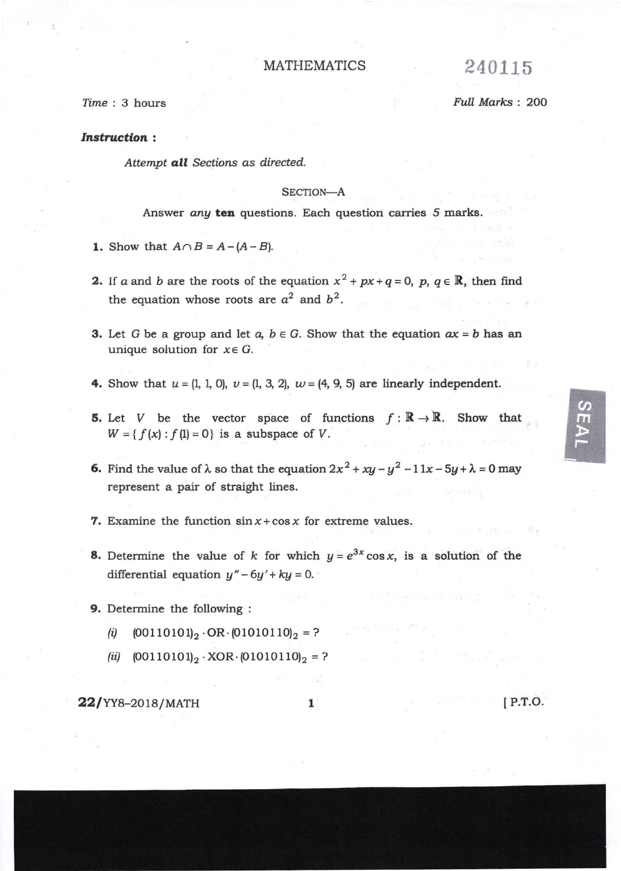# MATHEMATICS 240115

Time : 3 hours **by Full Marks : 200** 

# Instruction:

Attempt all Sections as directed.

## SECTION-A

Answer any ten questions. Each question carries 5 marks.

- 1. Show that  $A \cap B = A (A B)$ .
- 2. If a and b are the roots of the equation  $x^2 + px+q=0$ ,  $p, q \in \mathbb{R}$ , then find the equation whose roots are  $a^2$  and  $b^2$ .
- **3.** Let G be a group and let  $a, b \in G$ . Show that the equation  $ax = b$  has an unique solution for  $x \in G$ .
- 4. Show that  $u = (1, 1, 0), v = (1, 3, 2), w = (4, 9, 5)$  are linearly independent.
- **5.** Let V be the vector space of functions  $f : \mathbb{R} \to \mathbb{R}$ . Show that  $W = \{f(x): f(1) = 0\}$  is a subspace of V.
- 6. Find the value of  $\lambda$  so that the equation  $2x^2 + xy y^2 -11x-5y+\lambda=0$  may represent a pair of straight lines.
- **7.** Examine the function  $\sin x + \cos x$  for extreme values.
- **8.** Determine the value of k for which  $y = e^{3x} \cos x$ , is a solution of the differential equation  $y'' - 6y' + ky = 0$ .
- 9. Determine the following :
	- (i)  $(00110101)_2 \cdot \text{OR} \cdot (01010110)_2 = ?$
	- (ii)  $(00110101)_2 \cdot XOR \cdot (01010110)_2 = ?$

**22/**YY8-2018/MATH 1 [P.T.O.

 $\mathcal{G}$ m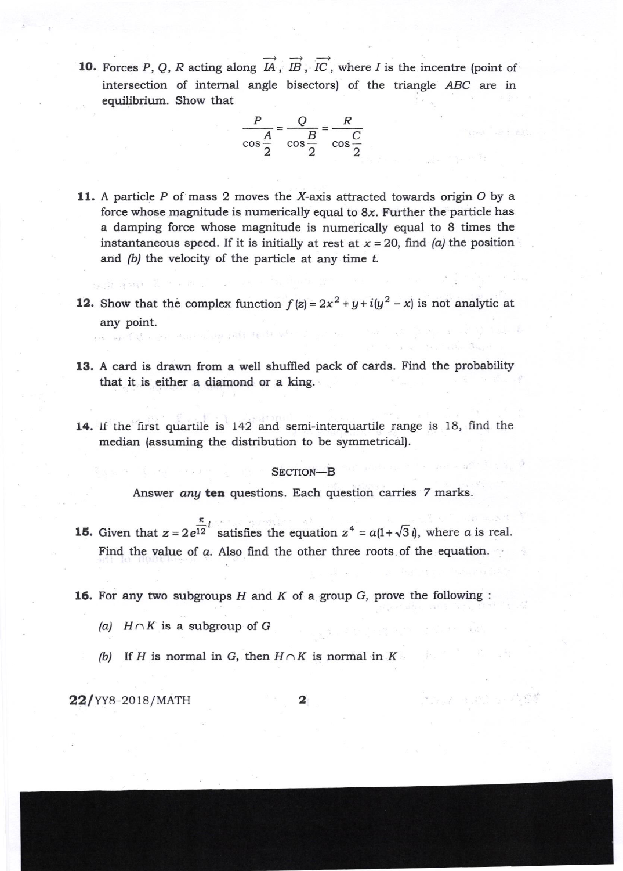**10.** Forces P, Q, R acting along  $\overrightarrow{IA}$ ,  $\overrightarrow{IB}$ ,  $\overrightarrow{IC}$ , where I is the incentre (point of intersection of internal angle bisectors) of the triangle ABC are in equilibrium. Show that

$$
\frac{P}{\cos\frac{A}{2}} = \frac{Q}{\cos\frac{B}{2}} = \frac{R}{\cos\frac{C}{2}}
$$

- 11. A particle  $P$  of mass 2 moves the X-axis attracted towards origin  $O$  by a force whose magnitude is numerically equal to  $8x$ . Further the particle has a damping force whose magnitude is numerically equal to 8 times the instantaneous speed. If it is initially at rest at  $x = 20$ , find (a) the position and  $(b)$  the velocity of the particle at any time  $t$ .
- 12. Show that the complex function  $f(z) = 2x^2 + y + i(y^2 x)$  is not analytic at any point.
- 13. A card is drawn from a well shuffled pack of cards. Find the probability that it is either a diamond or a king.
- 14. If the first quartile is 142 and semi-interquartile range is 18, find the median (assuming the distribution to be symmetrical).

### SECTION-B

Answer any ten questions. Each question carries 7 marks.

- **15.** Given that  $z = 2e^{\frac{\pi}{12}i}$  satisfies the equation  $z^4 = a(1 + \sqrt{3}i)$ , where a is real. Find the value of a. Also find the other three roots of the equation.
- **16.** For any two subgroups  $H$  and  $K$  of a group  $G$ , prove the following :
	- (a)  $H \cap K$  is a subgroup of G
	- (b) If H is normal in G, then  $H \cap K$  is normal in  $K$

22/YY8-2018/MATH

an warfel

2

网络运行 医软骨 医异体脊髓